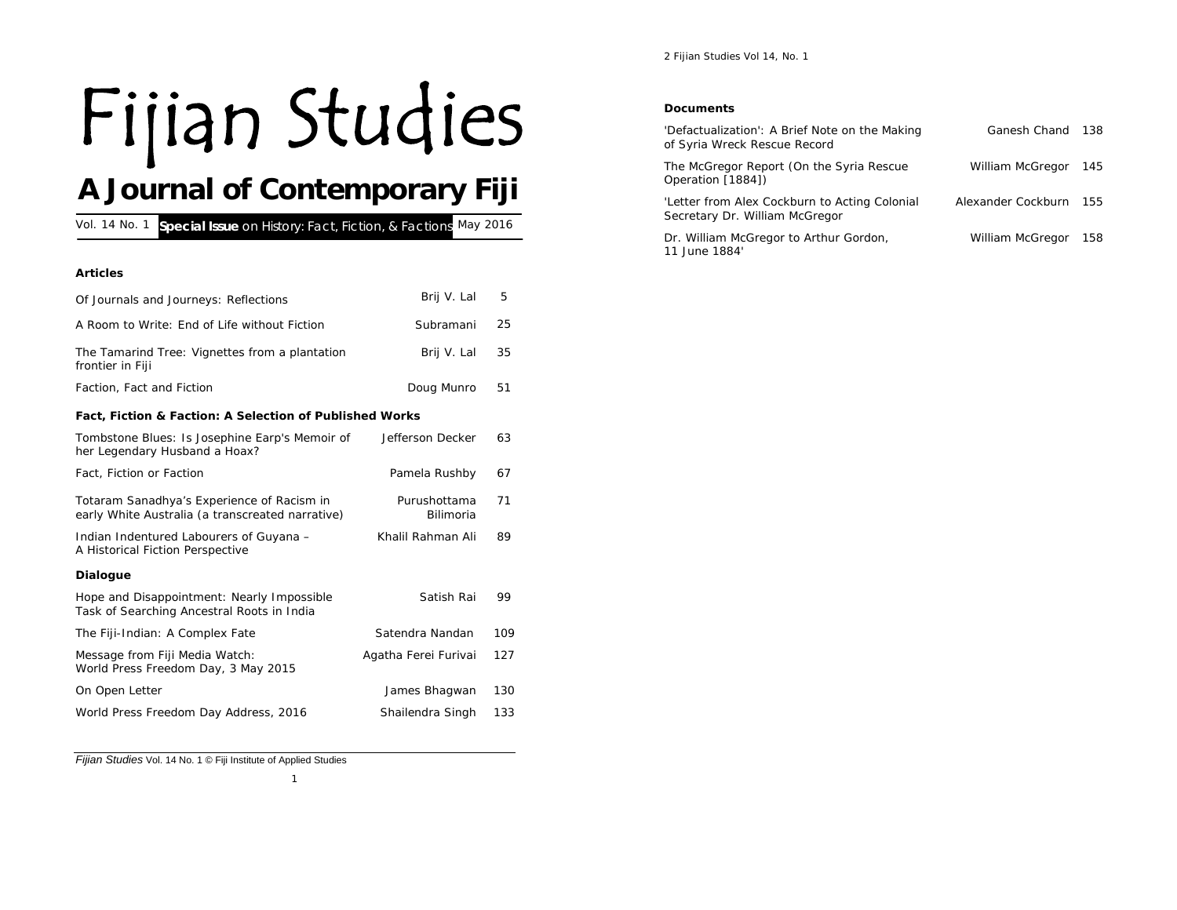# Fijian Studies

## **A Journal of Contemporary Fiji**

| Special Issue on History: Fact, Fiction, & Factions May 2016<br>Vol. 14 No. 1                  |                           |     |  |
|------------------------------------------------------------------------------------------------|---------------------------|-----|--|
|                                                                                                |                           |     |  |
| <b>Articles</b>                                                                                |                           |     |  |
| Of Journals and Journeys: Reflections                                                          | Brij V. Lal               | 5   |  |
| A Room to Write: End of Life without Fiction                                                   | Subramani                 | 25  |  |
| The Tamarind Tree: Vignettes from a plantation<br>frontier in Fiji                             | Brij V. Lal               | 35  |  |
| Faction, Fact and Fiction                                                                      | Doug Munro                | 51  |  |
| Fact, Fiction & Faction: A Selection of Published Works                                        |                           |     |  |
| Tombstone Blues: Is Josephine Earp's Memoir of<br>her Legendary Husband a Hoax?                | Jefferson Decker          | 63  |  |
| Fact, Fiction or Faction                                                                       | Pamela Rushby             | 67  |  |
| Totaram Sanadhya's Experience of Racism in<br>early White Australia (a transcreated narrative) | Purushottama<br>Bilimoria | 71  |  |
| Indian Indentured Labourers of Guyana -<br>A Historical Fiction Perspective                    | Khalil Rahman Ali         | 89  |  |
| <b>Dialogue</b>                                                                                |                           |     |  |
| Hope and Disappointment: Nearly Impossible<br>Task of Searching Ancestral Roots in India       | Satish Rai                | 99  |  |
| The Fiji-Indian: A Complex Fate                                                                | Satendra Nandan           | 109 |  |
| Message from Fiji Media Watch:<br>World Press Freedom Day, 3 May 2015                          | Agatha Ferei Furivai      | 127 |  |
| On Open Letter                                                                                 | James Bhagwan             | 130 |  |
| World Press Freedom Day Address, 2016                                                          | Shailendra Singh          | 133 |  |

*Fijian Studies* Vol. 14 No. 1 © Fiji Institute of Applied Studies

#### *Documents*

| 'Defactualization': A Brief Note on the Making<br>of Syria Wreck Rescue Record  | Ganesh Chand       | 138 |
|---------------------------------------------------------------------------------|--------------------|-----|
| The McGregor Report (On the Syria Rescue<br>Operation [1884])                   | William McGregor   | 145 |
| 'Letter from Alex Cockburn to Acting Colonial<br>Secretary Dr. William McGregor | Alexander Cockburn | 155 |
| Dr. William McGregor to Arthur Gordon,<br>11 June 1884'                         | William McGregor   | 158 |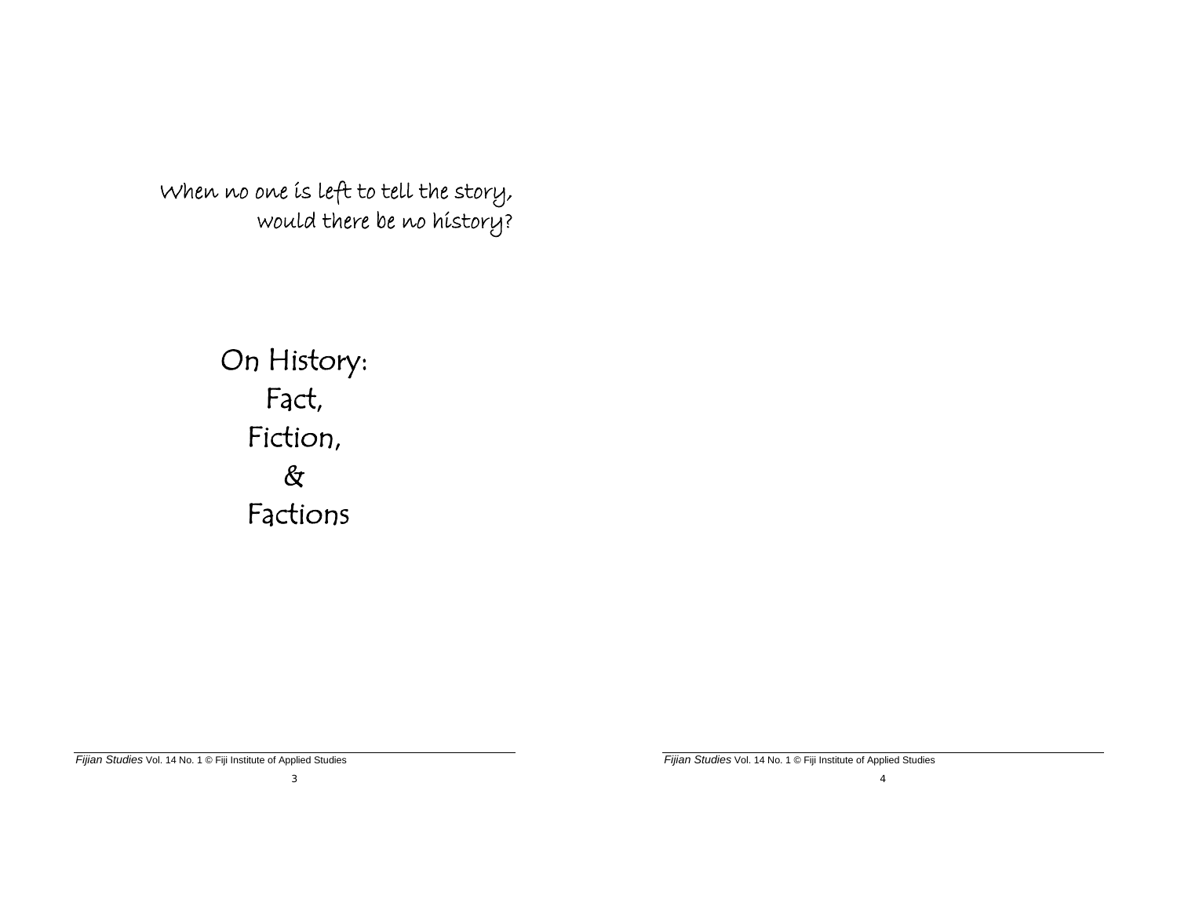When no one is left to tell the story, would there be no history?

# On History: Fact, Fiction,  $\&$ Factions

*Fijian Studies* Vol. 14 No. 1 © Fiji Institute of Applied Studies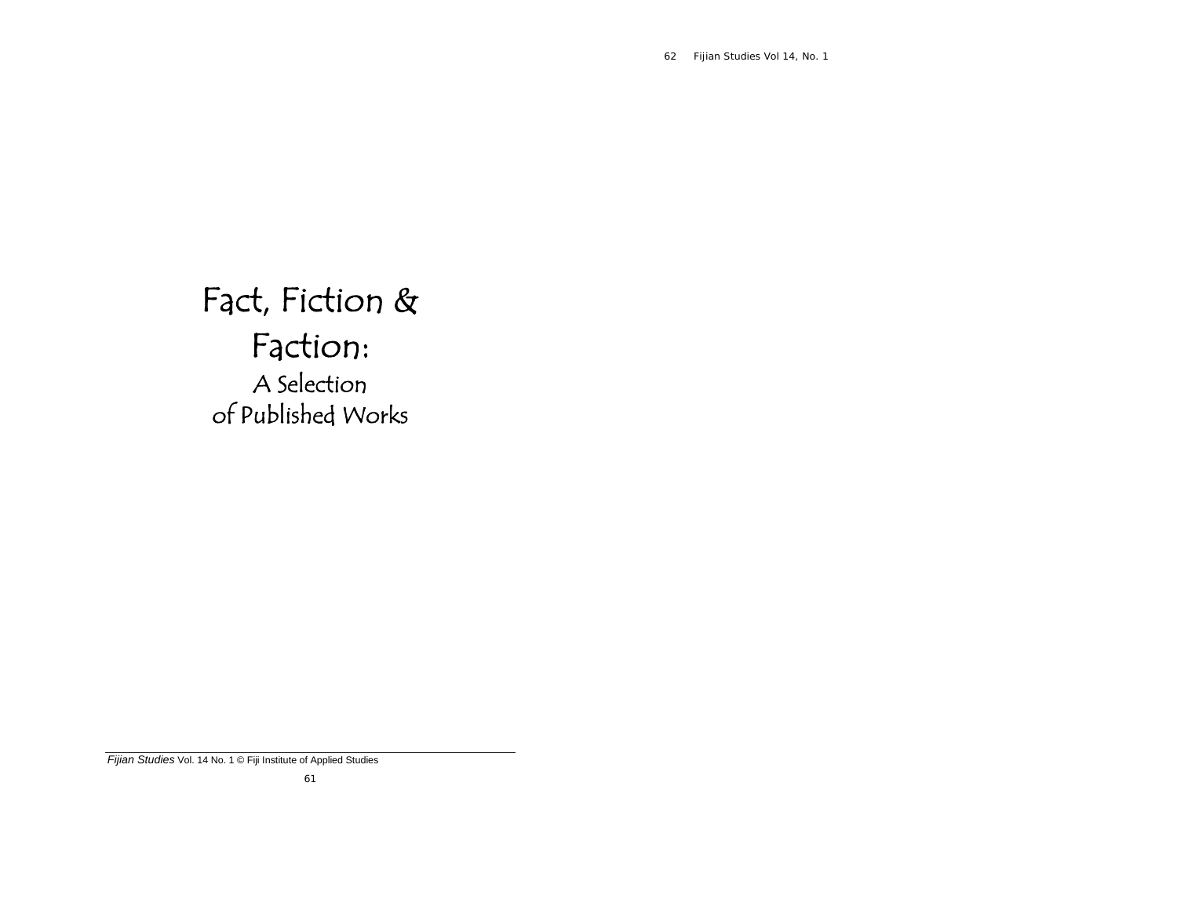62 *Fijian Studies Vol 14, No. 1* 

Fact, Fiction & Faction: A Selection of Published Works

*Fijian Studies* Vol. 14 No. 1 © Fiji Institute of Applied Studies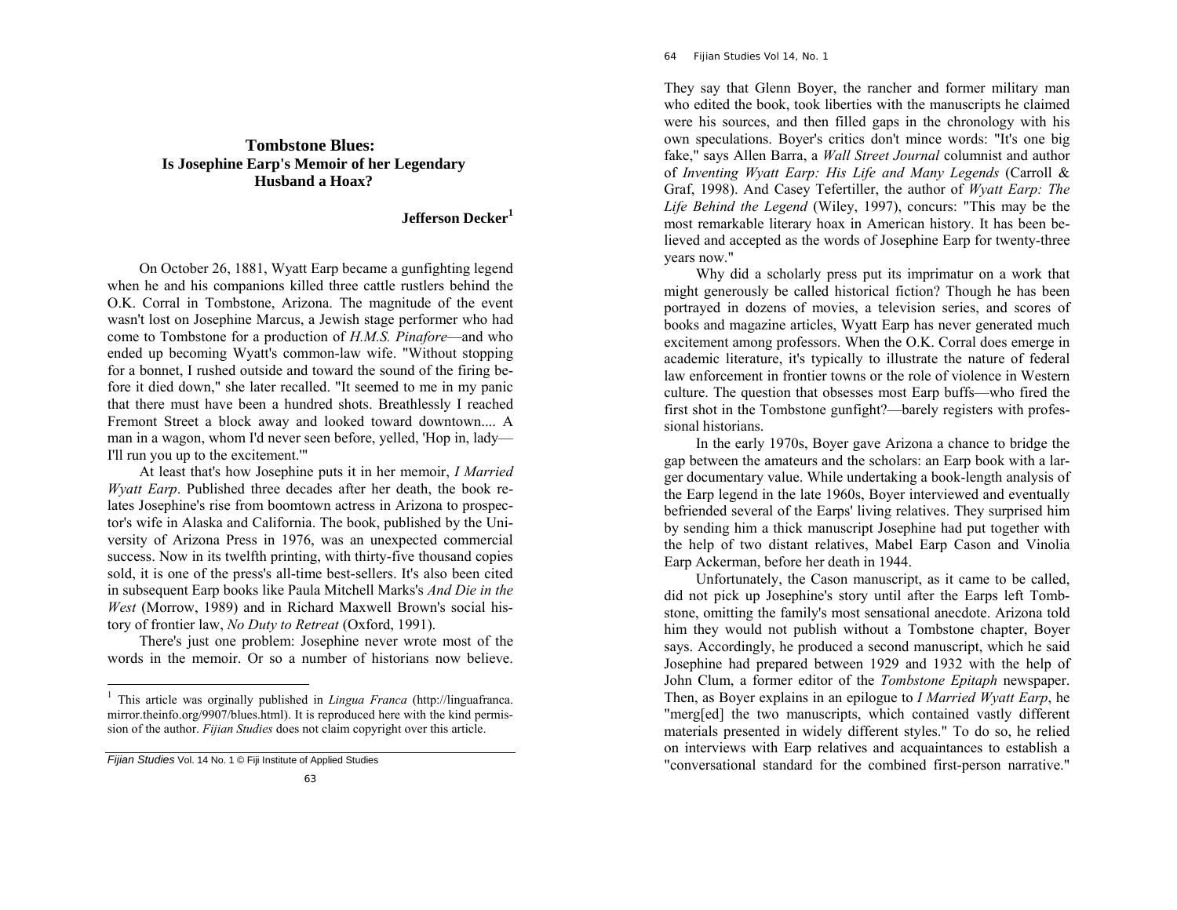## **Tombstone Blues:Is Josephine Earp's Memoir of her Legendary Husband a Hoax?**

### **Jefferson Decker<sup>1</sup>**

 On October 26, 1881, Wyatt Earp became a gunfighting legend when he and his companions killed three cattle rustlers behind the O.K. Corral in Tombstone, Arizona. The magnitude of the event wasn't lost on Josephine Marcus, a Jewish stage performer who had come to Tombstone for a production of *H.M.S. Pinafore*—and who ended up becoming Wyatt's common-law wife. "Without stopping for a bonnet, I rushed outside and toward the sound of the firing before it died down," she later recalled. "It seemed to me in my panic that there must have been a hundred shots. Breathlessly I reached Fremont Street a block away and looked toward downtown.... A man in a wagon, whom I'd never seen before, yelled, 'Hop in, lady— I'll run you up to the excitement.'"

 At least that's how Josephine puts it in her memoir, *I Married Wyatt Earp*. Published three decades after her death, the book relates Josephine's rise from boomtown actress in Arizona to prospector's wife in Alaska and California. The book, published by the University of Arizona Press in 1976, was an unexpected commercial success. Now in its twelfth printing, with thirty-five thousand copies sold, it is one of the press's all-time best-sellers. It's also been cited in subsequent Earp books like Paula Mitchell Marks's *And Die in the West* (Morrow, 1989) and in Richard Maxwell Brown's social history of frontier law, *No Duty to Retreat* (Oxford, 1991).

 There's just one problem: Josephine never wrote most of the words in the memoir. Or so a number of historians now believe.

#### 64 *Fijian Studies Vol 14, No. 1*

They say that Glenn Boyer, the rancher and former military man who edited the book, took liberties with the manuscripts he claimed were his sources, and then filled gaps in the chronology with his own speculations. Boyer's critics don't mince words: "It's one big fake," says Allen Barra, a *Wall Street Journal* columnist and author of *Inventing Wyatt Earp: His Life and Many Legends* (Carroll & Graf, 1998). And Casey Tefertiller, the author of *Wyatt Earp: The Life Behind the Legend* (Wiley, 1997), concurs: "This may be the most remarkable literary hoax in American history. It has been believed and accepted as the words of Josephine Earp for twenty-three years now."

 Why did a scholarly press put its imprimatur on a work that might generously be called historical fiction? Though he has been portrayed in dozens of movies, a television series, and scores of books and magazine articles, Wyatt Earp has never generated much excitement among professors. When the O.K. Corral does emerge in academic literature, it's typically to illustrate the nature of federal law enforcement in frontier towns or the role of violence in Western culture. The question that obsesses most Earp buffs—who fired the first shot in the Tombstone gunfight?—barely registers with professional historians.

 In the early 1970s, Boyer gave Arizona a chance to bridge the gap between the amateurs and the scholars: an Earp book with a larger documentary value. While undertaking a book-length analysis of the Earp legend in the late 1960s, Boyer interviewed and eventually befriended several of the Earps' living relatives. They surprised him by sending him a thick manuscript Josephine had put together with the help of two distant relatives, Mabel Earp Cason and Vinolia Earp Ackerman, before her death in 1944.

 Unfortunately, the Cason manuscript, as it came to be called, did not pick up Josephine's story until after the Earps left Tombstone, omitting the family's most sensational anecdote. Arizona told him they would not publish without a Tombstone chapter, Boyer says. Accordingly, he produced a second manuscript, which he said Josephine had prepared between 1929 and 1932 with the help of John Clum, a former editor of the *Tombstone Epitaph* newspaper. Then, as Boyer explains in an epilogue to *I Married Wyatt Earp*, he "merg[ed] the two manuscripts, which contained vastly different materials presented in widely different styles." To do so, he relied on interviews with Earp relatives and acquaintances to establish a "conversational standard for the combined first-person narrative."

<sup>1</sup> This article was orginally published in *Lingua Franca* (http://linguafranca. mirror.theinfo.org/9907/blues.html). It is reproduced here with the kind permission of the author. *Fijian Studies* does not claim copyright over this article.

*Fijian Studies* Vol. 14 No. 1 © Fiji Institute of Applied Studies